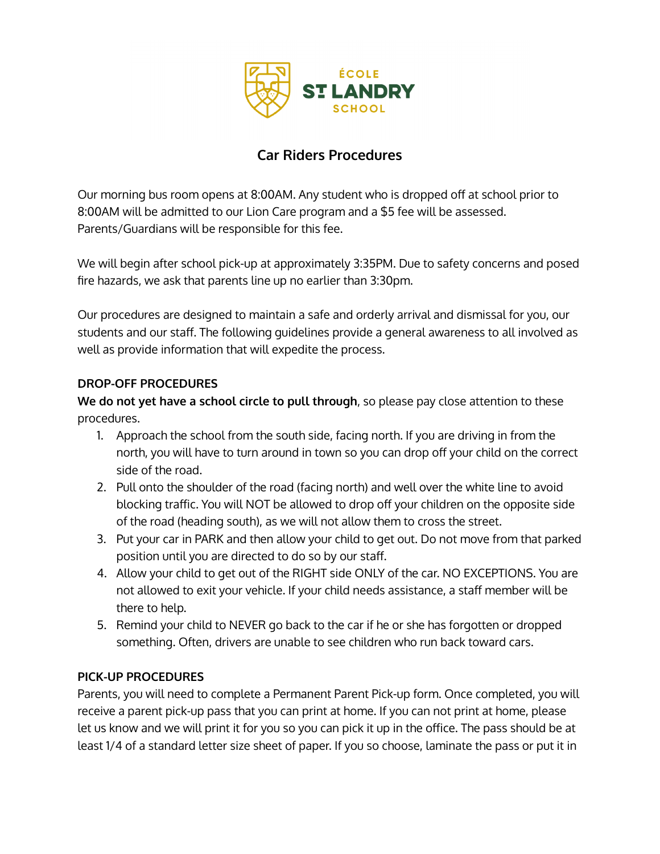

# **Car Riders Procedures**

Our morning bus room opens at 8:00AM. Any student who is dropped off at school prior to 8:00AM will be admitted to our Lion Care program and a \$5 fee will be assessed. Parents/Guardians will be responsible for this fee.

We will begin after school pick-up at approximately 3:35PM. Due to safety concerns and posed fire hazards, we ask that parents line up no earlier than 3:30pm.

Our procedures are designed to maintain a safe and orderly arrival and dismissal for you, our students and our staff. The following guidelines provide a general awareness to all involved as well as provide information that will expedite the process.

#### **DROP-OFF PROCEDURES**

**We do not yet have a school circle to pull through**, so please pay close attention to these procedures.

- 1. Approach the school from the south side, facing north. If you are driving in from the north, you will have to turn around in town so you can drop off your child on the correct side of the road.
- 2. Pull onto the shoulder of the road (facing north) and well over the white line to avoid blocking traffic. You will NOT be allowed to drop off your children on the opposite side of the road (heading south), as we will not allow them to cross the street.
- 3. Put your car in PARK and then allow your child to get out. Do not move from that parked position until you are directed to do so by our staff.
- 4. Allow your child to get out of the RIGHT side ONLY of the car. NO EXCEPTIONS. You are not allowed to exit your vehicle. If your child needs assistance, a staff member will be there to help.
- 5. Remind your child to NEVER go back to the car if he or she has forgotten or dropped something. Often, drivers are unable to see children who run back toward cars.

## **PICK-UP PROCEDURES**

Parents, you will need to complete a Permanent Parent Pick-up form. Once completed, you will receive a parent pick-up pass that you can print at home. If you can not print at home, please let us know and we will print it for you so you can pick it up in the office. The pass should be at least 1/4 of a standard letter size sheet of paper. If you so choose, laminate the pass or put it in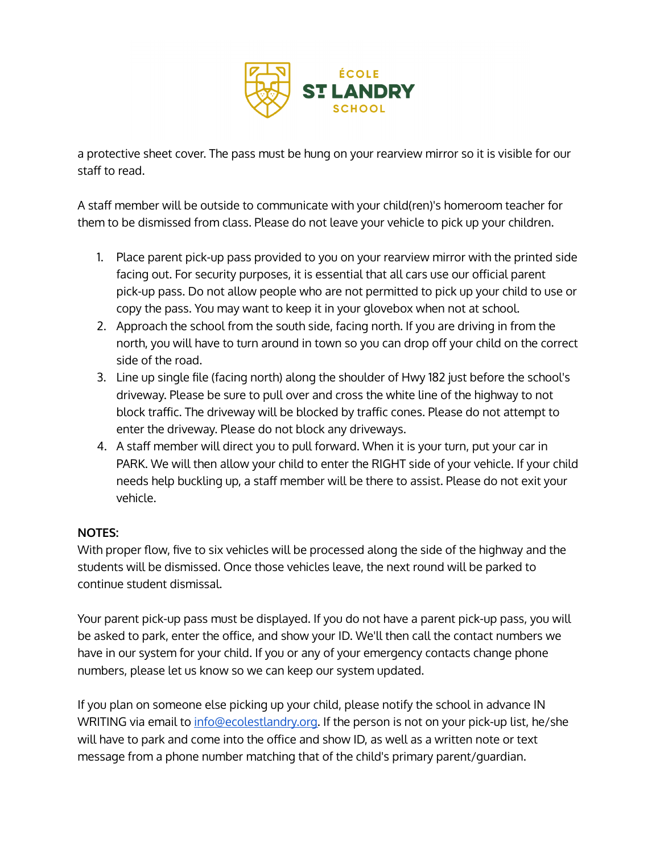

a protective sheet cover. The pass must be hung on your rearview mirror so it is visible for our staff to read.

A staff member will be outside to communicate with your child(ren)'s homeroom teacher for them to be dismissed from class. Please do not leave your vehicle to pick up your children.

- 1. Place parent pick-up pass provided to you on your rearview mirror with the printed side facing out. For security purposes, it is essential that all cars use our official parent pick-up pass. Do not allow people who are not permitted to pick up your child to use or copy the pass. You may want to keep it in your glovebox when not at school.
- 2. Approach the school from the south side, facing north. If you are driving in from the north, you will have to turn around in town so you can drop off your child on the correct side of the road.
- 3. Line up single file (facing north) along the shoulder of Hwy 182 just before the school's driveway. Please be sure to pull over and cross the white line of the highway to not block traffic. The driveway will be blocked by traffic cones. Please do not attempt to enter the driveway. Please do not block any driveways.
- 4. A staff member will direct you to pull forward. When it is your turn, put your car in PARK. We will then allow your child to enter the RIGHT side of your vehicle. If your child needs help buckling up, a staff member will be there to assist. Please do not exit your vehicle.

## **NOTES:**

With proper flow, five to six vehicles will be processed along the side of the highway and the students will be dismissed. Once those vehicles leave, the next round will be parked to continue student dismissal.

Your parent pick-up pass must be displayed. If you do not have a parent pick-up pass, you will be asked to park, enter the office, and show your ID. We'll then call the contact numbers we have in our system for your child. If you or any of your emergency contacts change phone numbers, please let us know so we can keep our system updated.

If you plan on someone else picking up your child, please notify the school in advance IN WRITING via email to [info@ecolestlandry.org.](mailto:info@ecolestlandry.org) If the person is not on your pick-up list, he/she will have to park and come into the office and show ID, as well as a written note or text message from a phone number matching that of the child's primary parent/guardian.